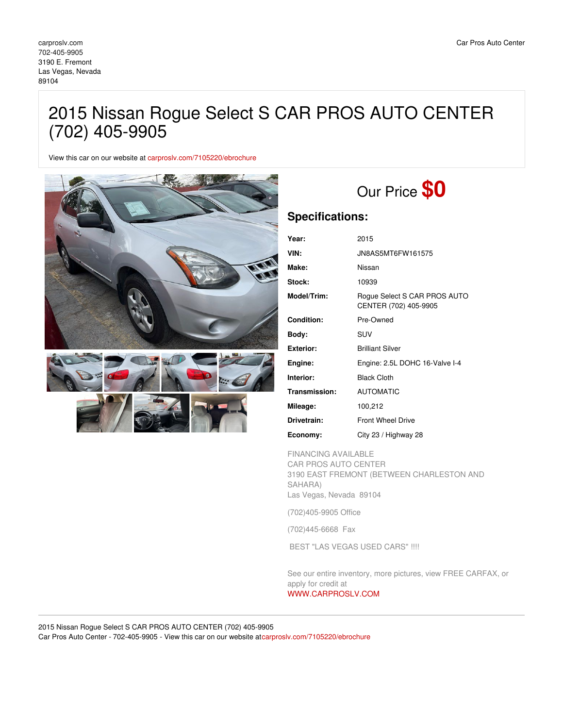# 2015 Nissan Rogue Select S CAR PROS AUTO CENTER (702) 405-9905

View this car on our website at [carproslv.com/7105220/ebrochure](https://carproslv.com/vehicle/7105220/2015-nissan-rogue-select-s-car-pros-auto-center-702-405-9905-las-vegas-nevada-89104/7105220/ebrochure)



# Our Price **\$0**

## **Specifications:**

| Year:             | 2015                                                  |
|-------------------|-------------------------------------------------------|
| VIN:              | JN8AS5MT6FW161575                                     |
| Make:             | Nissan                                                |
| Stock:            | 10939                                                 |
| Model/Trim:       | Rogue Select S CAR PROS AUTO<br>CENTER (702) 405-9905 |
| <b>Condition:</b> | Pre-Owned                                             |
| Body:             | SUV                                                   |
| Exterior:         | <b>Brilliant Silver</b>                               |
| Engine:           | Engine: 2.5L DOHC 16-Valve I-4                        |
| Interior:         | <b>Black Cloth</b>                                    |
| Transmission:     | <b>AUTOMATIC</b>                                      |
| Mileage:          | 100,212                                               |
| Drivetrain:       | <b>Front Wheel Drive</b>                              |
| Economy:          | City 23 / Highway 28                                  |

FINANCING AVAILABLE CAR PROS AUTO CENTER 3190 EAST FREMONT (BETWEEN CHARLESTON AND SAHARA) Las Vegas, Nevada 89104

(702)405-9905 Office

(702)445-6668 Fax

BEST "LAS VEGAS USED CARS" !!!!

See our entire inventory, more pictures, view FREE CARFAX, or apply for credit at [WWW.CARPROSLV.COM](http://www.carproslv.com)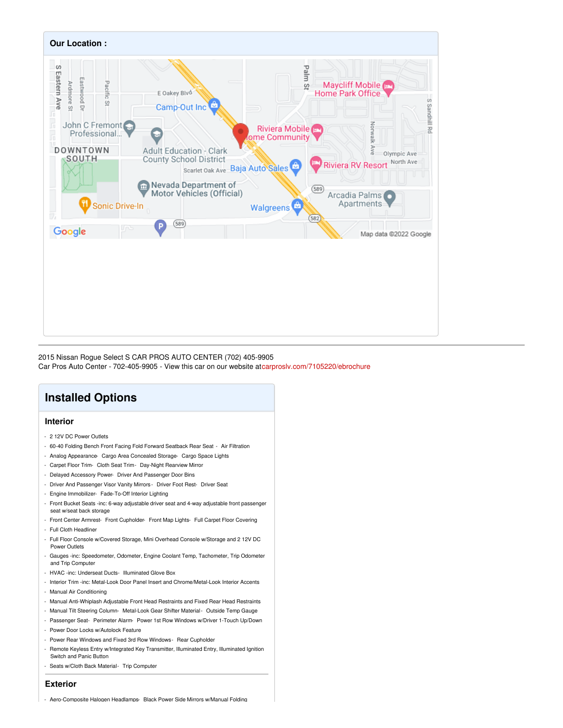

2015 Nissan Rogue Select S CAR PROS AUTO CENTER (702) 405-9905

Car Pros Auto Center - 702-405-9905 - View this car on our website a[tcarproslv.com/7105220/ebrochure](https://carproslv.com/vehicle/7105220/2015-nissan-rogue-select-s-car-pros-auto-center-702-405-9905-las-vegas-nevada-89104/7105220/ebrochure)

## **Installed Options**

### **Interior**

- 2 12V DC Power Outlets
- 60-40 Folding Bench Front Facing Fold Forward Seatback Rear Seat Air Filtration
- Analog Appearance- Cargo Area Concealed Storage- Cargo Space Lights
- Carpet Floor Trim- Cloth Seat Trim- Day-Night Rearview Mirror
- Delayed Accessory Power- Driver And Passenger Door Bins
- Driver And Passenger Visor Vanity Mirrors Driver Foot Rest- Driver Seat
- Engine Immobilizer- Fade-To-Off Interior Lighting
- Front Bucket Seats -inc: 6-way adjustable driver seat and 4-way adjustable front passenger seat w/seat back storage
- Front Center Armrest- Front Cupholder- Front Map Lights- Full Carpet Floor Covering - Full Cloth Headliner
- Full Floor Console w/Covered Storage, Mini Overhead Console w/Storage and 2 12V DC Power Outlets
- Gauges -inc: Speedometer, Odometer, Engine Coolant Temp, Tachometer, Trip Odometer and Trip Computer
- HVAC -inc: Underseat Ducts- Illuminated Glove Box
- Interior Trim -inc: Metal-Look Door Panel Insert and Chrome/Metal-Look Interior Accents - Manual Air Conditioning
- Manual Anti-Whiplash Adjustable Front Head Restraints and Fixed Rear Head Restraints
- Manual Tilt Steering Column- Metal-Look Gear Shifter Material- Outside Temp Gauge
- Passenger Seat- Perimeter Alarm- Power 1st Row Windows w/Driver 1-Touch Up/Down
- Power Door Locks w/Autolock Feature
- Power Rear Windows and Fixed 3rd Row Windows- Rear Cupholder
- Remote Keyless Entry w/Integrated Key Transmitter, Illuminated Entry, Illuminated Ignition Switch and Panic Button
- Seats w/Cloth Back Material- Trip Computer

### **Exterior**

- Aero-Composite Halogen Headlamps- Black Power Side Mirrors w/Manual Folding